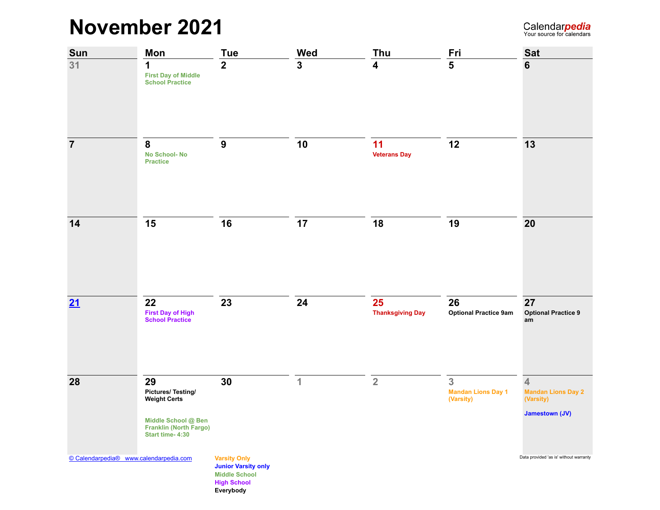## **November 2021**

| Sun                                    | <b>Mon</b>                                                                                                                       | <b>Tue</b>                                                                                                   | Wed            | Thu                           | Fri                                         | <b>Sat</b>                                                                                 |
|----------------------------------------|----------------------------------------------------------------------------------------------------------------------------------|--------------------------------------------------------------------------------------------------------------|----------------|-------------------------------|---------------------------------------------|--------------------------------------------------------------------------------------------|
| 31                                     | 1<br><b>First Day of Middle</b><br><b>School Practice</b>                                                                        | $\overline{2}$                                                                                               | $\overline{3}$ | $\overline{\mathbf{4}}$       | 5                                           | 6                                                                                          |
| $\overline{7}$                         | 8<br><b>No School-No</b><br><b>Practice</b>                                                                                      | $\boldsymbol{9}$                                                                                             | 10             | 11<br><b>Veterans Day</b>     | 12                                          | 13                                                                                         |
| 14                                     | 15                                                                                                                               | 16                                                                                                           | 17             | 18                            | 19                                          | 20                                                                                         |
| 21                                     | 22<br><b>First Day of High</b><br><b>School Practice</b>                                                                         | 23                                                                                                           | 24             | 25<br><b>Thanksgiving Day</b> | 26<br><b>Optional Practice 9am</b>          | 27<br><b>Optional Practice 9</b><br>am                                                     |
| 28                                     | 29<br><b>Pictures/Testing/</b><br><b>Weight Certs</b><br>Middle School @ Ben<br><b>Franklin (North Fargo)</b><br>Start time-4:30 | 30                                                                                                           | 1              | $\overline{2}$                | 3<br><b>Mandan Lions Day 1</b><br>(Varsity) | $\overline{\mathbf{4}}$<br><b>Mandan Lions Day 2</b><br>(Varsity)<br><b>Jamestown (JV)</b> |
| © Calendarpedia® www.calendarpedia.com |                                                                                                                                  | <b>Varsity Only</b><br><b>Junior Varsity only</b><br><b>Middle School</b><br><b>High School</b><br>Everybody |                |                               |                                             | Data provided 'as is' without warranty                                                     |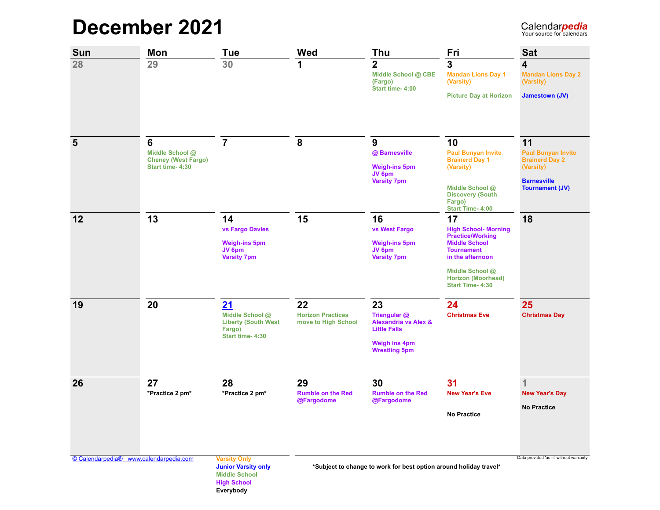## **December 2021**

| <b>Sun</b>     | Mon                                                                   | Tue                                                                                                          | Wed                                                   | Thu                                                                                                                          | Fri                                                                                                                                                                                                    | <b>Sat</b>                                                                                                            |
|----------------|-----------------------------------------------------------------------|--------------------------------------------------------------------------------------------------------------|-------------------------------------------------------|------------------------------------------------------------------------------------------------------------------------------|--------------------------------------------------------------------------------------------------------------------------------------------------------------------------------------------------------|-----------------------------------------------------------------------------------------------------------------------|
| 28             | 29                                                                    | 30                                                                                                           | 1                                                     | 2<br>Middle School @ CBE<br>(Fargo)<br>Start time-4:00                                                                       | $\overline{3}$<br><b>Mandan Lions Day 1</b><br>(Varsity)<br><b>Picture Day at Horizon</b>                                                                                                              | 4<br><b>Mandan Lions Day 2</b><br>(Varsity)<br>Jamestown (JV)                                                         |
| $5\phantom{1}$ | 6<br>Middle School @<br><b>Cheney (West Fargo)</b><br>Start time-4:30 | $\overline{7}$                                                                                               | 8                                                     | 9<br>@ Barnesville<br><b>Weigh-ins 5pm</b><br>JV 6pm<br><b>Varsity 7pm</b>                                                   | 10<br><b>Paul Bunyan Invite</b><br><b>Brainerd Day 1</b><br>(Varsity)<br>Middle School @<br><b>Discovery (South</b><br>Fargo)<br>Start Time-4:00                                                       | 11<br><b>Paul Bunyan Invite</b><br><b>Brainerd Day 2</b><br>(Varsity)<br><b>Barnesville</b><br><b>Tournament (JV)</b> |
| 12             | 13                                                                    | 14<br><b>vs Fargo Davies</b><br><b>Weigh-ins 5pm</b><br>JV 6pm<br><b>Varsity 7pm</b>                         | 15                                                    | 16<br>vs West Fargo<br><b>Weigh-ins 5pm</b><br>JV 6pm<br><b>Varsity 7pm</b>                                                  | 17<br><b>High School-Morning</b><br><b>Practice/Working</b><br><b>Middle School</b><br><b>Tournament</b><br>in the afternoon<br>Middle School @<br><b>Horizon (Moorhead)</b><br><b>Start Time-4:30</b> | 18                                                                                                                    |
| 19             | 20                                                                    | 21<br>Middle School @<br><b>Liberty (South West</b><br>Fargo)<br>Start time-4:30                             | 22<br><b>Horizon Practices</b><br>move to High School | 23<br>Triangular @<br><b>Alexandria vs Alex &amp;</b><br><b>Little Falls</b><br><b>Weigh ins 4pm</b><br><b>Wrestling 5pm</b> | 24<br><b>Christmas Eve</b>                                                                                                                                                                             | 25<br><b>Christmas Day</b>                                                                                            |
| 26             | 27<br>*Practice 2 pm*                                                 | 28<br>*Practice 2 pm*                                                                                        | 29<br><b>Rumble on the Red</b><br>@Fargodome          | 30<br><b>Rumble on the Red</b><br>@Fargodome                                                                                 | 31<br><b>New Year's Eve</b><br><b>No Practice</b>                                                                                                                                                      | 1<br><b>New Year's Day</b><br><b>No Practice</b>                                                                      |
|                | © Calendarpedia® www.calendarpedia.com                                | <b>Varsity Only</b><br><b>Junior Varsity only</b><br><b>Middle School</b><br><b>High School</b><br>Everybody |                                                       | *Subject to change to work for best option around holiday travel*                                                            |                                                                                                                                                                                                        | Data provided 'as is' without warranty                                                                                |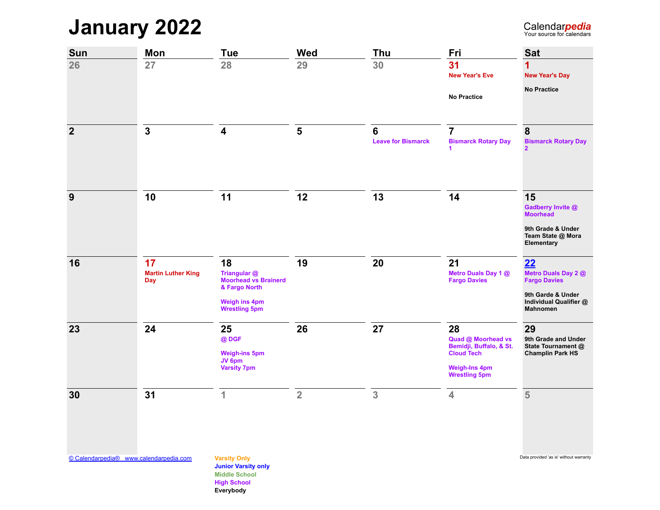**January 2022**

Calendarpedia

| Sun            | Mon                                           | <b>Tue</b>                                                         | <b>Wed</b>     | Thu                            | Fri                                               | <b>Sat</b>                                              |
|----------------|-----------------------------------------------|--------------------------------------------------------------------|----------------|--------------------------------|---------------------------------------------------|---------------------------------------------------------|
| 26             | 27                                            | 28                                                                 | 29             | 30                             | 31<br><b>New Year's Eve</b>                       | <b>New Year's Day</b>                                   |
|                |                                               |                                                                    |                |                                | <b>No Practice</b>                                | <b>No Practice</b>                                      |
| $\overline{2}$ | $\mathbf{3}$                                  | 4                                                                  | 5              | 6<br><b>Leave for Bismarck</b> | $\overline{7}$<br><b>Bismarck Rotary Day</b><br>1 | 8<br><b>Bismarck Rotary Day</b><br>$\overline{2}$       |
|                |                                               |                                                                    |                |                                |                                                   |                                                         |
| 9              | 10                                            | 11                                                                 | 12             | 13                             | 14                                                | 15<br>Gadberry Invite @<br><b>Moorhead</b>              |
|                |                                               |                                                                    |                |                                |                                                   | 9th Grade & Under<br>Team State @ Mora<br>Elementary    |
| 16             | 17<br><b>Martin Luther King</b><br><b>Day</b> | 18<br>Triangular @<br><b>Moorhead vs Brainerd</b><br>& Fargo North | 19             | 20                             | 21<br>Metro Duals Day 1 @<br><b>Fargo Davies</b>  | 22<br>Metro Duals Day 2 @<br><b>Fargo Davies</b>        |
|                |                                               | <b>Weigh ins 4pm</b><br><b>Wrestling 5pm</b>                       |                |                                |                                                   | 9th Garde & Under<br>Individual Qualifier @<br>Mahnomen |
| 23             | 24                                            | 25                                                                 | 26             | 27                             | 28                                                | 29                                                      |
|                |                                               | @DGF                                                               |                |                                | Quad @ Moorhead vs<br>Bemidji, Buffalo, & St.     | 9th Grade and Under<br>State Tournament @               |
|                |                                               | <b>Weigh-ins 5pm</b><br>JV 6pm                                     |                |                                | <b>Cloud Tech</b>                                 | <b>Champlin Park HS</b>                                 |
|                |                                               | <b>Varsity 7pm</b>                                                 |                |                                | <b>Weigh-Ins 4pm</b><br><b>Wrestling 5pm</b>      |                                                         |
| 30             | 31                                            | $\overline{1}$                                                     | $\overline{2}$ | 3                              | $\overline{\mathbf{4}}$                           | 5                                                       |
|                |                                               |                                                                    |                |                                |                                                   |                                                         |
|                |                                               |                                                                    |                |                                |                                                   |                                                         |

[© Calendarpedia® www.calendarpedia.com](https://www.calendarpedia.com/) **Varsity Only** Data provided 'as is' without warranty

**Junior Varsity only Middle School High School Everybody**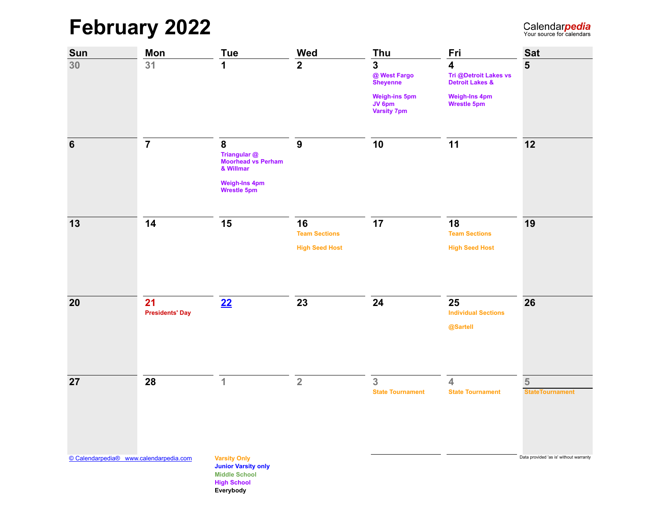**February 2022**

| Sun                                    | Mon                          | <b>Tue</b>                                                                                                   | Wed                        | Thu                                                                    | Fri                                                                 | <b>Sat</b>                             |
|----------------------------------------|------------------------------|--------------------------------------------------------------------------------------------------------------|----------------------------|------------------------------------------------------------------------|---------------------------------------------------------------------|----------------------------------------|
| 30                                     | 31                           | 1                                                                                                            | 2 <sup>1</sup>             | $\mathbf 3$<br>@ West Fargo<br><b>Sheyenne</b><br><b>Weigh-ins 5pm</b> | $\overline{\mathbf{4}}$<br>Tri @Detroit Lakes vs<br>Detroit Lakes & | $5\phantom{1}$                         |
|                                        |                              |                                                                                                              |                            | JV 6pm<br><b>Varsity 7pm</b>                                           | Weigh-Ins 4pm<br>Wrestle 5pm                                        |                                        |
| 6                                      | $\overline{7}$               | 8<br>Triangular @<br><b>Moorhead vs Perham</b><br>& Willmar                                                  | $\boldsymbol{9}$           | 10                                                                     | 11                                                                  | 12                                     |
|                                        |                              | <b>Weigh-Ins 4pm</b><br><b>Wrestle 5pm</b>                                                                   |                            |                                                                        |                                                                     |                                        |
| 13                                     | 14                           | 15                                                                                                           | 16<br><b>Team Sections</b> | 17                                                                     | 18<br><b>Team Sections</b>                                          | 19                                     |
|                                        |                              |                                                                                                              | <b>High Seed Host</b>      |                                                                        | <b>High Seed Host</b>                                               |                                        |
| 20                                     | 21<br><b>Presidents' Day</b> | 22                                                                                                           | 23                         | 24                                                                     | 25<br><b>Individual Sections</b>                                    | 26                                     |
|                                        |                              |                                                                                                              |                            |                                                                        | @Sartell                                                            |                                        |
| 27                                     | 28                           | $\mathbf{1}$                                                                                                 | $\overline{2}$             | 3                                                                      | 4                                                                   | $\overline{5}$                         |
|                                        |                              |                                                                                                              |                            | <b>State Tournament</b>                                                | <b>State Tournament</b>                                             | <b>StateTournament</b>                 |
| © Calendarpedia® www.calendarpedia.com |                              | <b>Varsity Only</b><br><b>Junior Varsity only</b><br><b>Middle School</b><br><b>High School</b><br>Everybody |                            |                                                                        |                                                                     | Data provided 'as is' without warranty |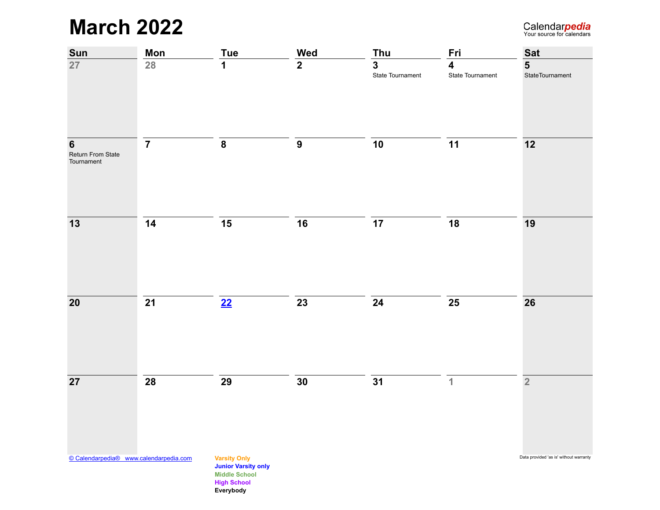**March 2022**

| <b>Sun</b>                                         | <b>Mon</b>      | <b>Tue</b>                                                                                                   | <b>Wed</b>       | <b>Thu</b>                                  | Fri                                         | <b>Sat</b>                                 |
|----------------------------------------------------|-----------------|--------------------------------------------------------------------------------------------------------------|------------------|---------------------------------------------|---------------------------------------------|--------------------------------------------|
| 27                                                 | $\overline{28}$ | 1                                                                                                            | $\overline{2}$   | $\overline{\mathbf{3}}$<br>State Tournament | $\overline{\mathbf{4}}$<br>State Tournament | $\overline{\mathbf{5}}$<br>StateTournament |
| $6\phantom{1}6$<br>Return From State<br>Tournament | $\overline{7}$  | ${\bf 8}$                                                                                                    | $\boldsymbol{9}$ | 10                                          | 11                                          | $12$                                       |
| $13$                                               | 14              | 15                                                                                                           | 16               | 17                                          | 18                                          | 19                                         |
| ${\bf 20}$                                         | 21              | 22                                                                                                           | $\overline{23}$  | 24                                          | ${\bf 25}$                                  | 26                                         |
| $\overline{27}$                                    | 28              | 29                                                                                                           | 30               | 31                                          | $\mathbf{1}$                                | $\overline{2}$                             |
| © Calendarpedia® www.calendarpedia.com             |                 | <b>Varsity Only</b><br><b>Junior Varsity only</b><br><b>Middle School</b><br><b>High School</b><br>Everybody |                  |                                             |                                             | Data provided 'as is' without warranty     |